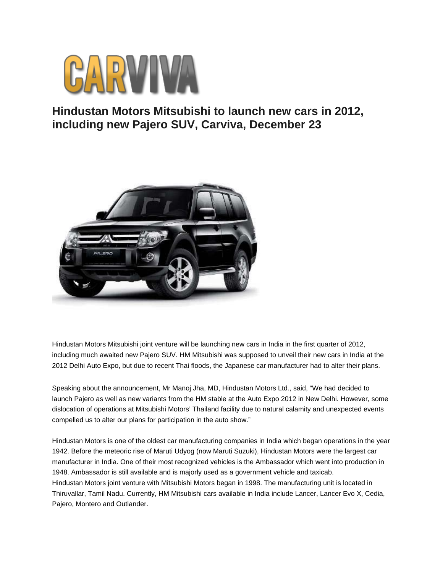

## **Hindustan Motors Mitsubishi to launch new cars in 2012, including new Pajero SUV, Carviva, December 23**



Hindustan Motors Mitsubishi joint venture will be launching new cars in India in the first quarter of 2012, including much awaited new Pajero SUV. HM Mitsubishi was supposed to unveil their new cars in India at the 2012 Delhi Auto Expo, but due to recent Thai floods, the Japanese car manufacturer had to alter their plans.

Speaking about the announcement, Mr Manoj Jha, MD, Hindustan Motors Ltd., said, "We had decided to launch Pajero as well as new variants from the HM stable at the Auto Expo 2012 in New Delhi. However, some dislocation of operations at Mitsubishi Motors' Thailand facility due to natural calamity and unexpected events compelled us to alter our plans for participation in the auto show."

Hindustan Motors is one of the oldest car manufacturing companies in India which began operations in the year 1942. Before the meteoric rise of Maruti Udyog (now Maruti Suzuki), Hindustan Motors were the largest car manufacturer in India. One of their most recognized vehicles is the Ambassador which went into production in 1948. Ambassador is still available and is majorly used as a government vehicle and taxicab. Hindustan Motors joint venture with Mitsubishi Motors began in 1998. The manufacturing unit is located in Thiruvallar, Tamil Nadu. Currently, HM Mitsubishi cars available in India include Lancer, Lancer Evo X, Cedia, Pajero, Montero and Outlander.